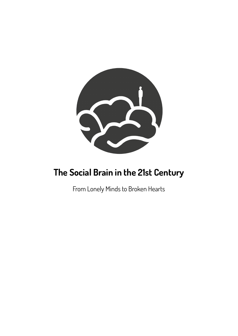

# **The Social Brain in the 21st Century**

From Lonely Minds to Broken Hearts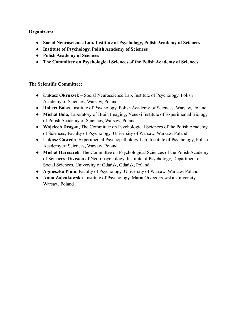## **Organizers:**

- **Social Neuroscience Lab, Institute of Psychology, Polish Academy of Sciences**
- **Institute of Psychology, Polish Academy of Sciences**
- **Polish Academy of Sciences**
- **The Committee on Psychological Sciences of the Polish Academy of Sciences**

## **The Scientific Committee:**

- **Łukasz Okruszek** Social Neuroscience Lab, Institute of Psychology, Polish Academy of Sciences, Warsaw, Poland
- **Robert Balas**, Institute of Psychology, Polish Academy of Sciences, Warsaw, Poland
- **Michał Bola**, Laboratory of Brain Imaging, Nencki Institute of Experimental Biology of Polish Academy of Sciences, Warsaw, Poland
- **Wojciech Dragan**, The Committee on Psychological Sciences of the Polish Academy of Sciences; Faculty of Psychology, University of Warsaw, Warsaw, Poland
- **Łukasz Gawęda**, Experimental Psychopathology Lab, Institute of Psychology, Polish Academy of Sciences, Warsaw, Poland
- **Michał Harciarek**, The Committee on Psychological Sciences of the Polish Academy of Sciences; Division of Neuropsychology, Institute of Psychology, Department of Social Sciences, University of Gdańsk, Gdańsk, Poland
- **Agnieszka Pluta**, Faculty of Psychology, University of Warsaw, Warsaw, Poland
- **Anna Zajenkowska**, Institute of Psychology, Maria Grzegorzewska University, Warsaw, Poland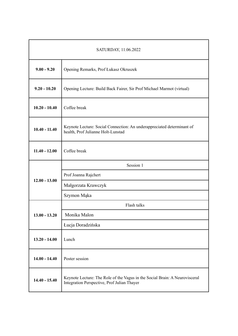| SATURDAY, 11.06.2022 |                                                                                                                            |  |
|----------------------|----------------------------------------------------------------------------------------------------------------------------|--|
| $9.00 - 9.20$        | Opening Remarks, Prof Łukasz Okruszek                                                                                      |  |
| $9.20 - 10.20$       | Opening Lecture: Build Back Fairer, Sir Prof Michael Marmot (virtual)                                                      |  |
| $10.20 - 10.40$      | Coffee break                                                                                                               |  |
| $10.40 - 11.40$      | Keynote Lecture: Social Connection: An underappreciated determinant of<br>health, Prof Julianne Holt-Lunstad               |  |
| $11.40 - 12.00$      | Coffee break                                                                                                               |  |
| $12.00 - 13.00$      | Session 1                                                                                                                  |  |
|                      | Prof Joanna Rajchert                                                                                                       |  |
|                      | Małgorzata Krawczyk                                                                                                        |  |
|                      | Szymon Mąka                                                                                                                |  |
| $13.00 - 13.20$      | Flash talks                                                                                                                |  |
|                      | Monika Malon                                                                                                               |  |
|                      | Łucja Doradzińska                                                                                                          |  |
| $13.20 - 14.00$      | Lunch                                                                                                                      |  |
| $14.00 - 14.40$      | Poster session                                                                                                             |  |
| $14.40 - 15.40$      | Keynote Lecture: The Role of the Vagus in the Social Brain: A Neurovisceral<br>Integration Perspective, Prof Julian Thayer |  |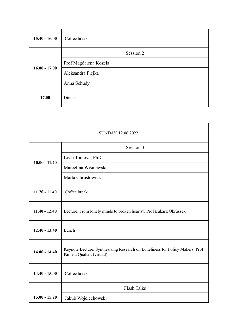| $15.40 - 16.00$ | Coffee break          |
|-----------------|-----------------------|
| $16.00 - 17.00$ | Session 2             |
|                 | Prof Magdalena Kozela |
|                 | Aleksandra Piejka     |
|                 | Anna Schudy           |
| 17.00           | Dinner                |

| SUNDAY, 12.06.2022 |                                                                                                           |  |
|--------------------|-----------------------------------------------------------------------------------------------------------|--|
| $10.00 - 11.20$    | Session 3                                                                                                 |  |
|                    | Livia Tomova, PhD                                                                                         |  |
|                    | Marcelina Wiśniewska                                                                                      |  |
|                    | Marta Chrustowicz                                                                                         |  |
| $11.20 - 11.40$    | Coffee break                                                                                              |  |
| $11.40 - 12.40$    | Lecture: From lonely minds to broken hearts?, Prof Łukasz Okruszek                                        |  |
| $12.40 - 13.40$    | Lunch                                                                                                     |  |
| $14.00 - 14.40$    | Keynote Lecture: Synthesising Research on Loneliness for Policy Makers, Prof<br>Pamela Qualter, (virtual) |  |
| $14.40 - 15.00$    | Coffee break                                                                                              |  |
|                    | <b>Flash Talks</b>                                                                                        |  |
| $15.00 - 15.20$    | Jakub Wojciechowski                                                                                       |  |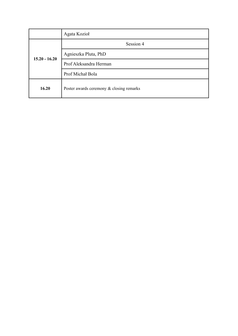|                 | Agata Kozioł                             |
|-----------------|------------------------------------------|
| $15.20 - 16.20$ | Session 4                                |
|                 | Agnieszka Pluta, PhD                     |
|                 | Prof Aleksandra Herman                   |
|                 | Prof Michał Bola                         |
| 16.20           | Poster awards ceremony & closing remarks |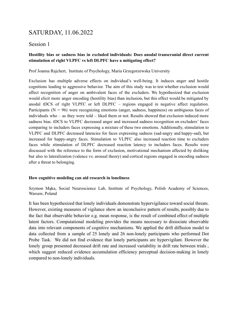# SATURDAY, 11.06.2022

## Session 1

## **Hostility bias or sadness bias in excluded individuals: Does anodal transcranial direct current stimulation of right VLPFC vs left DLPFC have a mitigating effect?**

Prof Joanna Rajchert, Institute of Psychology, Maria Grzegorzewska University

Exclusion has multiple adverse effects on individual's well-being. It induces anger and hostile cognitions leading to aggressive behavior. The aim of this study was to test whether exclusion would affect recognition of anger on ambivalent faces of the excluders. We hypothesized that exclusion would elicit more anger encoding (hostility bias) than inclusion, but this effect would be mitigated by anodal tDCS of right VLPFC or left DLPFC – regions engaged in negative affect regulation. Participants ( $N = 96$ ) were recognizing emotions (anger, sadness, happiness) on ambiguous faces of individuals who – as they were told – liked them or not. Results showed that exclusion induced more sadness bias. tDCS to VLPFC decreased anger and increased sadness recognition on excluders' faces comparing to includers faces expressing a mixture of these two emotions. Additionally, stimulation to VLPFC and DLPFC decreased latencies for faces expressing sadness (sad-angry and happy-sad), but increased for happy-angry faces. Stimulation to VLPFC also increased reaction time to excluders faces while stimulation of DLPFC decreased reaction latency to includers faces. Results were discussed with the reference to the form of exclusion, motivational mechanism affected by disliking but also to lateralization (valence vs. arousal theory) and cortical regions engaged in encoding sadness after a threat to belonging.

#### **How cognitive modeling can aid research in loneliness**

Szymon Mąka, Social Neuroscience Lab, Institute of Psychology, Polish Academy of Sciences, Warsaw, Poland

It has been hypothesized that lonely individuals demonstrate hypervigilance toward social threats. However, existing measures of vigilance show an inconclusive pattern of results, possibly due to the fact that observable behavior e.g. mean response, is the result of combined effect of multiple latent factors. Computational modeling provides the means necessary to dissociate observable data into relevant components of cognitive mechanisms. We applied the drift diffusion model to data collected from a sample of 25 lonely and 26 non-lonely participants who performed Dot Probe Task. We did not find evidence that lonely participants are hypervigilant. However the lonely group presented decreased drift rate and increased variability in drift rate between trials, which suggest reduced evidence accumulation efficiency perceptual decision-making in lonely compared to non-lonely individuals.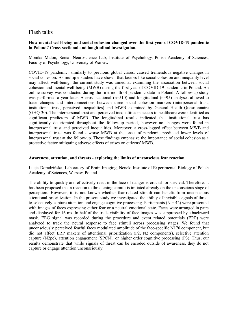## Flash talks

#### **How mental well-being and social cohesion changed over the first year of COVID-19 pandemic in Poland? Cross-sectional and longitudinal investigation.**

Monika Malon, Social Neuroscience Lab, Institute of Psychology, Polish Academy of Sciences; Faculty of Psychology, University of Warsaw

COVID-19 pandemic, similarly to previous global crises, caused tremendous negative changes in social cohesion. As multiple studies have shown that factors like social cohesion and inequality level may affect well-being, the current study was aimed at examining the association between social cohesion and mental well-being (MWB) during the first year of COVID-19 pandemic in Poland. An online survey was conducted during the first month of pandemic state in Poland. A follow-up study was performed a year later. A cross-sectional  $(n=510)$  and longitudinal  $(n=95)$  analyses allowed to trace changes and interconnections between three social cohesion markers (interpersonal trust, institutional trust, perceived inequalities) and MWB examined by General Health Questionnaire (GHQ-30). The interpersonal trust and perceived inequalities in access to healthcare were identified as significant predictors of MWB. The longitudinal results indicated that institutional trust has significantly deteriorated throughout the follow-up period, however no changes were found in interpersonal trust and perceived inequalities. Moreover, a cross-lagged effect between MWB and interpersonal trust was found - worse MWB at the onset of pandemic predicted lower levels of interpersonal trust at the follow-up. These findings emphasize the importance of social cohesion as a protective factor mitigating adverse effects of crises on citizens' MWB.

#### **Awareness, attention, and threats - exploring the limits of unconscious fear reaction**

Łucja Doradzińska, Laboratory of Brain Imaging, Nencki Institute of Experimental Biology of Polish Academy of Sciences, Warsaw, Poland

The ability to quickly and effectively react in the face of danger is crucial for survival. Therefore, it has been proposed that a reaction to threatening stimuli is initiated already on the unconscious stage of perception. However, it is not known whether fear-related stimuli can benefit from unconscious attentional prioritization. In the present study we investigated the ability of invisible signals of threat to selectively capture attention and engage cognitive processing. Participants ( $N = 42$ ) were presented with images of faces expressing either fear or a neutral emotional state. Faces were arranged in pairs and displayed for 16 ms. In half of the trials visibility of face images was suppressed by a backward mask. EEG signal was recorded during the procedure and event related potentials (ERP) were analyzed to track the neural response to face stimuli across processing stages. We found that unconsciously perceived fearful faces modulated amplitude of the face-specific N170 component, but did not affect ERP makers of attentional prioritization (P2, N2 components), selective attention capture (N2pc), attention engagement (SPCN), or higher order cognitive processing (P3). Thus, our results demonstrate that while signals of threat can be encoded outside of awareness, they do not capture or engage attention unconsciously.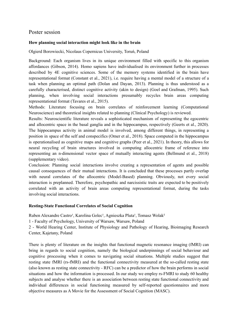## Poster session

## **How planning social interaction might look like in the brain**

Olgierd Borowiecki, Nicolaus Copernicus University, Toruń, Poland

Background: Each organism lives in its unique environment filled with specific to this organism affordances (Gibson, 2014). Homo sapiens have individualised its environment further in processes described by 4E cognitive sciences. Some of the memory systems identified in the brain have representational format (Constant et al., 2021), i.e. require having a mental model of a structure of a task when planning an optimal path (Dolan and Dayan, 2013). Planning is thus understood as a carefully characterised, distinct cognitive activity (akin to design) (Goel and Grafman, 1995). Such planning, when involving social interactions presumably recycles brain areas computing representational format (Tavares et al., 2015).

Methods: Literature focusing on brain correlates of reinforcement learning (Computational Neuroscience) and theoretical insights related to planning (Clinical Psychology) is reviewed.

Results: Neuroscientific literature reveals a sophisticated mechanism of representing the egocentric and allocentric space in the basal ganglia and in the hippocampus, respectively (Geerts et al., 2020). The hippocampus activity in animal model is involved, among different things, in representing a position in space of the self and conspecifics (Omer et al., 2018). Space computed in the hippocampus is operationalised as cognitive maps and cognitive graphs (Peer et al., 2021). In theory, this allows for neural recycling of brain structures involved in computing allocentric frame of reference into representing an n-dimensional vector space of mutually interacting agents (Bellmund et al., 2018) (supplementary video).

Conclusion: Planning social interactions involve creating a representation of agents and possible causal consequences of their mutual interactions. It is concluded that these processes partly overlap with neural correlates of the allocentric (Model-Based) planning. Obviously, not every social interaction is preplanned. Therefore, psychopathic and narcissistic traits are expected to be positively correlated with an activity of brain areas computing representational format, during the tasks involving social interactions.

## **Resting-State Functional Correlates of Social Cognition**

Ruben Alexandre Castro<sup>1</sup>, Karolina Golec<sup>1</sup>, Agnieszka Pluta<sup>1</sup>, Tomasz Wolak<sup>2</sup>

1 - Faculty of Psychology, University of Warsaw, Warsaw, Poland

2 - World Hearing Center, Institute of Physiology and Pathology of Hearing, Bioimaging Research Center, Kajetany, Poland

There is plenty of literature on the insights that functional magnetic resonance imaging (fMRI) can bring in regards to social cognition, namely the biological underpinnings of social behaviour and cognitive processing when it comes to navigating social situations. Multiple studies suggest that resting state fMRI (rs-fMRI) and the functional connectivity measured at the so-called resting state (also known as resting state connectivity - RFC) can be a predictor of how the brain performs in social situations and how the information is processed. In our study we employ rs-FMRI to study 60 healthy subjects and analyse whether there is an association between resting state functional connectivity and individual differences in social functioning measured by self-reported questionnaires and more objective measures as A Movie for the Assessment of Social Cognition (MASC).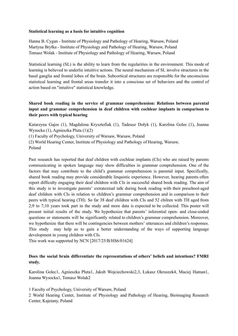#### **Statistical learning as a basis for intuitive cognition**

Hanna B. Cygan - Institute of Physiology and Pathology of Hearing, Warsaw, Poland Martyna Bryłka - Institute of Physiology and Pathology of Hearing, Warsaw, Poland Tomasz Wolak - Institute of Physiology and Pathology of Hearing, Warsaw, Poland

Statistical learning (SL) is the ability to learn from the regularities in the environment. This mode of learning is believed to underlie intuitive actions. The neural mechanism of SL involve structures in the basal ganglia and frontal lobes of the brain. Subcortical structures are responsible for the unconscious statistical learning and frontal areas transfer it into a conscious set of behaviors and the control of action based on "intuitive" statistical knowledge.

## **Shared book reading in the service of grammar comprehension: Relations between parental input and grammar comprehension in deaf children with cochlear implants in comparison to their peers with typical hearing**

Katarzyna Gajos (1), Magdalena Krysztofiak (1), Tadeusz Dołyk (1), Karolina Golec (1), Joanna Wysocka (1), Agnieszka Pluta (1)(2)

(1) Faculty of Psychology, University of Warsaw, Warsaw, Poland

(2) World Hearing Center, Institute of Physiology and Pathology of Hearing, Warsaw, Poland

Past research has reported that deaf children with cochlear implants (CIs) who are raised by parents communicating in spoken language may show difficulties in grammar comprehension. One of the factors that may contribute to the child's grammar comprehension is parental input. Specifically, shared book reading may provide considerable linquistic experience. However, hearing parents often report difficulty engaging their deaf children with CIs in successful shared book reading. The aim of this study is to investigate parents' extratextual talk during book reading with their preschool-aged deaf children with CIs in relation to children's grammar comprehension and in comparison to their peers with typical hearing (TH). So far 38 deaf children with CIs and 52 chilren with TH aged from 2;9 to 7;10 years took part in the study and more data is expected to be collected. This poster will present initial results of the study. We hypothesize that parents' inferential open- and close-ended questions or statements will be significantly related to children's grammar comprehension. Moreover, we hypothesize that there will be contingencies between mothers' utterances and children's responses. This study may help us to gain a better understanding of the ways of supporting language development in young children with CIs.

This work was supported by NCN [2017/25/B/HS6/01624]

## **Does the social brain differentiate the representations of others' beliefs and intentions? FMRI study.**

Karolina Golec1, Agnieszka Pluta1, Jakub Wojciechowski2,3, Łukasz Okruszek4, Maciej Haman1, Joanna Wysocka1, Tomasz Wolak2

1 Faculty of Psychology, University of Warsaw, Poland

2 World Hearing Center, Institute of Physiology and Pathology of Hearing, Bioimaging Research Center, Kajetany, Poland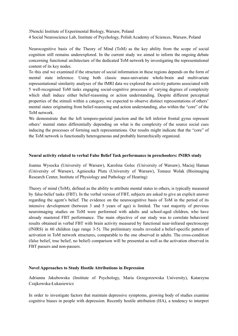3Nencki Institute of Experimental Biology, Warsaw, Poland

4 Social Neuroscience Lab, Institute of Psychology, Polish Academy of Sciences, Warsaw, Poland

Neurocognitive basis of the Theory of Mind (ToM) as the key ability from the scope of social cognition still remains underexplored. In the current study we aimed to inform the ongoing debate concerning functional architecture of the dedicated ToM network by investigating the representational content of its key nodes.

To this end we examined if the structure of social information in these regions depends on the form of mental state inference. Using both classic mass-univariate whole-brain and multivariate representational similarity analyses of the fMRI data we explored the activity patterns associated with 5 well-recognised ToM tasks engaging social-cognitive processes of varying degrees of complexity which shall induce either belief-reasoning or action understanding. Despite different perceptual properties of the stimuli within a category, we expected to observe distinct representations of others' mental states originating from belief-reasoning and action understanding, also within the "core" of the ToM network.

We demonstrate that the left temporo-parietal junction and the left inferior frontal gyrus represent others' mental states differentially depending on what is the complexity of the source social cues inducing the processes of forming such representations. Our results might indicate that the "core" of the ToM network is functionally heterogeneous and probably hierarchically organized.

#### **Neural activity related to verbal False Belief Task performance in preschoolers: fNIRS study**

Joanna Wysocka (University of Warsaw), Karolina Golec (University of Warsaw), Maciej Haman (University of Warsaw), Agnieszka Pluta (University of Warsaw), Tomasz Wolak (Bioimaging Research Center, Institute of Physiology and Pathology of Hearing)

Theory of mind (ToM), defined as the ability to attribute mental states to others, is typically measured by false-belief tasks (FBT). In the verbal version of FBT, subjects are asked to give an explicit answer regarding the agent's belief. The evidence on the neurocognitive basis of ToM in the period of its intensive development (between 3 and 5 years of age) is limited. The vast majority of previous neuroimaging studies on ToM were performed with adults and school-aged children, who have already mastered FBT performance. The main objective of our study was to correlate behavioral results obtained in verbal FBT with brain activity measured by functional near-infrared spectroscopy (fNIRS) in 60 children (age range 3-5). The preliminary results revealed a belief-specific pattern of activation in ToM network structures, comparable to the one observed in adults. The cross-condition (false belief, true belief, no belief) comparison will be presented as well as the activation observed in FBT passers and non-passers.

#### **Novel Approaches to Study Hostile Attributions in Depression**

Adrianna Jakubowska (Institute of Psychology, Maria Grzegorzewska University), Katarzyna Czajkowska-Łukasiewicz

In order to investigate factors that maintain depressive symptoms, growing body of studies examine cognitive biases in people with depression. Recently hostile attribution (HA), a tendency to interpret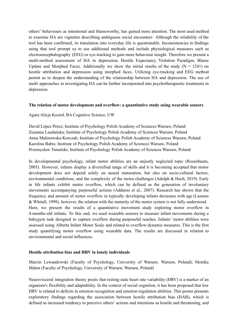others' behaviours as intentional and blameworthy, has gained more attention. The most used method to examine HA are vignettes describing ambiguous social encounters Although the reliability of the tool has been confirmed, its translation into everyday life is questionable. Inconsistencies in findings using that tool prompt us to use additional methods and include physiological measures such as electroencephalography (EEG) or eye-tracking to gain more behaviour insight. Therefore we present a multi-method assessment of HA in depression; Hostile Expectancy Violation Paradigm, Blame Update and Morphed Faces. Additionally we show the initial results of the study  $(N = 1241)$  on hostile attribution and depression using morphed faces. Utilizing eye-tracking and EEG method permit us to deepen the understanding of the relationship between HA and depression. The use of multi approaches in investigating HA can be further incorporated into psychotherapeutic treatments in depression.

#### **The relation of motor development and overflow: a quantitative study using wearable sensors**

Agata Alicja Kozioł, BA Cognitive Science, UW

David López Pérez; Institute of Psychology Polish Academy of Sciences Warsaw, Poland Zuzanna Laudańska; Institute of Psychology Polish Academy of Sciences Warsaw, Poland Anna Malinowska-Korczak; Institute of Psychology Polish Academy of Sciences Warsaw, Poland Karolina Babis; Institute of Psychology Polish Academy of Sciences Warsaw, Poland Przemysław Tomalski; Institute of Psychology Polish Academy of Sciences Warsaw, Poland

In developmental psychology, infant motor abilities are an unjustly neglected topic (Rosenbaum, 2005). However, infants display a diversified range of skills and it is becoming accepted that motor development does not depend solely on neural maturation, but also on socio-cultural factors, environmental conditions, and the complexity of the motor challenges (Adolph & Hoch, 2019). Early in life infants exhibit motor overflow, which can be defined as the generation of involuntary movements accompanying purposeful actions (Addamo et al., 2007). Research has shown that the frequency and amount of motor overflow in typically developing infants decreases with age (Lazarus & Whitall, 1999), however, the relation with the maturity of the motor system is not fully understood. Here, we present the results of a quantitative movement study exploring motor overflow in 4-months-old infants. To this end, we used wearable sensors to measure infant movements during a babygym task designed to capture overflow during purposeful reaches. Infants' motor abilities were assessed using Alberta Infant Motor Scale and related to overflow dynamic measures. This is the first study quantifying motor overflow using wearable data. The results are discussed in relation to environmental and social influences.

#### **Hostile attribution bias and HRV in lonely individuals**

Marcin Lewandowski (Faculty of Psychology, University of Warsaw, Warsaw, Poland); Monika Malon (Faculty of Psychology, University of Warsaw, Warsaw, Poland)

Neurovisceral integration theory posits that resting-state heart rate variability (HRV) is a marker of an organism's flexibility and adaptability. In the context of social cognition, it has been proposed that low HRV is related to deficits in emotion recognition and emotion regulation abilities. This poster presents exploratory findings regarding the association between hostile attribution bias (HAB), which is defined as increased tendency to perceive others' actions and intentions as hostile and threatening, and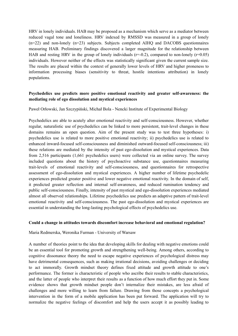HRV in lonely individuals. HAB may be proposed as a mechanism which serve as a mediator between reduced vagal tone and loneliness. HRV indexed by RMSSD was measured in a group of lonely  $(n=22)$  and non-lonely  $(n=23)$  subjects. Subjects completed AIHQ and DACOBS questionnaires measuring HAB. Preliminary findings discovered a larger magnitude for the relationship between HAB and resting HRV in the group of lonely individuals  $(r=0.2)$ , compared to non-lonely  $(r=0.05)$ individuals. However neither of the effects was statistically significant given the current sample size. The results are placed within the context of generally lower levels of HRV and higher proneness to information processing biases (sensitivity to threat, hostile intentions attribution) in lonely populations.

## **Psychedelics use predicts more positive emotional reactivity and greater self-awareness: the mediating role of ego dissolution and mystical experiences**

Paweł Orłowski, Jan Szczypiński, Michał Bola - Nencki Institute of Experimental Biology

Psychedelics are able to acutely alter emotional reactivity and self-consciousness. However, whether regular, naturalistic use of psychedelics can be linked to more persistent, trait-level changes in these domains remains an open question. Aim of the present study was to test three hypotheses: i) psychedelics use is related to more positive emotional reactivity; ii) psychedelics use is related to enhanced inward-focused self-consciousness and diminished outward-focused self-consciousness; iii) these relations are mediated by the intensity of past ego-dissolution and mystical experiences. Data from 2,516 participants (1,661 psychedelics users) were collected via an online survey. The survey included questions about the history of psychoactive substance use, questionnaires measuring trait-levels of emotional reactivity and self-consciousness, and questionnaires for retrospective assessment of ego-dissolution and mystical experiences. A higher number of lifetime psychedelic experiences predicted greater positive and lower negative emotional reactivity. In the domain of self, it predicted greater reflection and internal self-awareness, and reduced rumination tendency and public self-consciousness. Finally, intensity of past mystical and ego-dissolution experiences mediated almost all observed relationships. Lifetime psychedelics use predicts an adaptive pattern of trait-level emotional reactivity and self-consciousness. The past ego-dissolution and mystical experiences are essential in understanding the long-lasting psychological effects of psychedelics use.

#### **Could a change in attitudes towards discomfort increase behavioral and emotional regulation?**

#### Maria Redmerska, Weronika Furman - University of Warsaw

A number of theories point to the idea that developing skills for dealing with negative emotions could be an essential tool for promoting growth and strengthening well-being. Among others, according to cognitive dissonance theory the need to escape negative experiences of psychological distress may have detrimental consequences, such as making irrational decisions, avoiding challenges or deciding to act immorally. Growth mindset theory defines fixed attitude and growth attitude to one's performance. The former is characteristic of people who ascribe their results to stable characteristics, and the latter of people who interpret their results as a function of how much effort they put in. Some evidence shows that growth mindset people don't internalize their mistakes, are less afraid of challenges and more willing to learn from failure. Drawing from those concepts a psychological intervention in the form of a mobile application has been put forward. The application will try to normalize the negative feelings of discomfort and help the users accept it as possibly leading to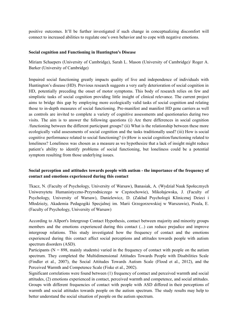positive outcomes. It'll be further investigated if such change in conceptualizing discomfort will connect to increased abilities to regulate one's own behavior and to cope with negative emotions.

#### **Social cognition and Functioning in Huntington's Disease**

Miriam Schaepers (University of Cambridge), Sarah L. Mason (University of Cambridge)/ Roger A. Barker (University of Cambridge)

Impaired social functioning greatly impacts quality of live and independence of individuals with Huntington's disease (HD). Previous research suggests a very early deterioration of social cognition in HD, potentially preceding the onset of motor symptoms. This body of research relies on few and simplistic tasks of social cognition providing little insight of clinical relevance. The current project aims to bridge this gap by employing more ecologically valid tasks of social cognition and relating those to in-depth measures of social functioning. Pre-manifest and manifest HD gene carriers as well as controls are invited to complete a variety of cognitive assessments and questionaries during two visits. The aim is to answer the following questions (i) Are there differences in social cognition /functioning between the different participant groups? (ii) What is the relationship between these more ecologically valid assessments of social cognition and the tasks traditionally used? (iii) How is social cognitive performance related to social functioning? (iv)How is social cognition/functioning related to loneliness? Loneliness was chosen as a measure as we hypothesize that a lack of insight might reduce patient's ability to identify problems of social functioning, but loneliness could be a potential symptom resulting from those underlying issues.

## **Social perception and attitudes towards people with autism - the importance of the frequency of contact and emotions experienced during this contact**

Tkacz, N. (Faculty of Psychology, University of Warsaw), Banasiak, A. (Wydział Nauk Społecznych Uniwersytetu Humanistyczno-Przyrodniczego w Częstochowie), Mikołajewska, J. (Faculty of Psychology, University of Warsaw), Danielewicz, D. (Zakład Psychologii Klinicznej Dzieci i Młodzieży, Akademia Pedagogiki Specjalnej im. Marii Grzegorzewskiej w Warszawie), Pisula, E. (Faculty of Psychology, University of Warsaw)

According to Allport's Intergroup Contact Hypothesis, contact between majority and minority groups members and the emotions experienced during this contact (...) can reduce prejudice and improve intergroup relations. This study investigated how the frequency of contact and the emotions experienced during this contact affect social perceptions and attitudes towards people with autism spectrum disorders (ASD).

Participants ( $N = 898$ , mainly students) varied in the frequency of contact with people on the autism spectrum. They completed the Multidimensional Attitudes Towards People with Disabilities Scale (Findler et al., 2007), the Social Attitudes Towards Autism Scale (Flood et al., 2012), and the Perceived Warmth and Competence Scale (Fiske et al., 2002).

Significant correlations were found between (1) frequency of contact and perceived warmth and social attitudes, (2) emotions experienced in contact, perceived warmth and competence, and social attitudes. Groups with different frequencies of contact with people with ASD differed in their perceptions of warmth and social attitudes towards people on the autism spectrum. The study results may help to better understand the social situation of people on the autism spectrum.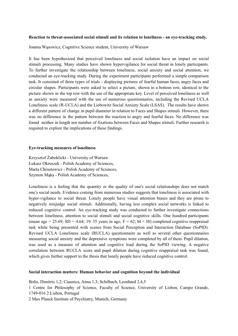#### **Reaction to threat-associated social stimuli and its relation to loneliness - an eye-tracking study.**

Joanna Wąsowicz, Cognitive Science student, University of Warsaw

It has been hypothesized that perceived loneliness and social isolation have an impact on social stimuli processing. Many studies have shown hypervigilance for social threat in lonely participants. To further investigate the relationship between loneliness, social anxiety and social attention, we conducted an eye-tracking study. During the experiment participants performed a simple comparison task. It consisted of three types of trials - displaying pictures of fearful human faces, angry faces and circular shapes. Participants were asked to select a picture, shown in a bottom row, identical to the picture shown in the top row with the use of the appropriate key. Level of perceived loneliness as well as anxiety were measured with the use of numerous questionnaires, including the Revised UCLA Loneliness scale (R-UCLA) and the Liebowitz Social Anxiety Scale (LSAS). The results have shown a different pattern of change in pupil diameter in relation to Faces and Shapes stimuli. However, there was no difference in the pattern between the reaction to angry and fearful faces. No difference was found neither in length nor number of fixations between Faces and Shapes stimuli. Further research is required to explore the implications of these findings.

#### **Eye-tracking measures of loneliness**

Krzysztof Żaboklicki - University of Warsaw Łukasz Okruszek - Polish Academy of Sciences, Marta Chrustowicz - Polish Academy of Sciences, Szymon Mąka - Polish Academy of Sciences,

Loneliness is a feeling that the quantity or the quality of one's social relationships does not match one's social needs. Evidence coming from numerous studies suggests that loneliness is associated with hyper-vigilance to social threat. Lonely people have visual attention biases and they are prone to negatively misjudge social stimuli. Additionally, having less complex social networks is linked to reduced cognitive control. An eye-tracking study was conducted to further investigate connections between loneliness, attention to social stimuli and social cognitive skills. One hundred participants (mean age = 25.69; SD = 4.64; 19–35 years in age;  $F = 62$ ; M = 38) completed cognitive reappraisal task while being presented with scenes from Social Perception and Interaction Database (SoPID). Revised UCLA Loneliness scale (RUCLA) questionnaire as well as several other questionnaires measuring social anxiety and the depressive symptoms were completed by all of them. Pupil dilation, was used as a measure of attention and cognitive load during the SoPID viewing. A negative correlation between RUCLA score and pupil dilation during cognitive reappraisal task was found, which gives further support to the thesis that lonely people have reduced cognitive control.

#### **Social interaction matters: Human behavior and cognition beyond the individual**

Bolis, Dimitris 1,2; Ciaunica, Anna 1,3; Schilbach, Leonhard 2,4,5

1 Centre for Philosophy of Science, Faculty of Science, University of Lisbon, Campo Grande, 1749-016 2 Lisbon, Portugal

2 Max Planck Institute of Psychiatry, Munich, Germany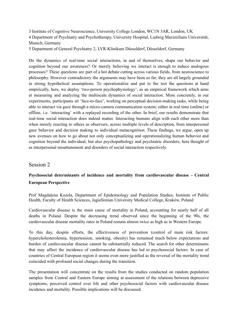3 Institute of Cognitive Neuroscience, University College London, WC1N 3AR, London, UK 4 Department of Psychiatry and Psychotherapy, University Hospital, Ludwig Maximilians Universität, Munich, Germany

5 Department of General Psychiatry 2, LVR-Klinikum Düsseldorf, Düsseldorf, Germany

Do the dynamics of real-time social interactions, in and of themselves, shape our behavior and cognition beyond our awareness? Or merely believing we interact is enough to induce analogous processes? These questions are part of a hot debate cutting across various fields, from neuroscience to philosophy. However contradictory the arguments may have been so far; they are all largely grounded in strong hypothetical assumptions. To operationalize and put to the test the questions at hand empirically, here, we deploy 'two-person psychophysiology', as an empirical framework which aims at measuring and analyzing the multiscale dynamics of social interaction. More concretely, in our experiments, participants sit 'face-to-face', working on perceptual decision-making tasks, while being able to interact via gaze through a micro-camera communication system; either in real time (online) or offline, i.e. 'interacting' with a replayed recording of the other. In brief, our results demonstrate that real-time social interaction does indeed matter. Interacting humans align with each other more than when merely reacting to others as observers, across multiple levels of description, from interpersonal gaze behavior and decision making to individual metacognition. These findings, we argue, open up new avenues on how to go about not only conceptualizing and operationalizing human behavior and cognition beyond the individual, but also psychopathology and psychiatric disorders, here thought of as interpersonal misattunement and disorders of social interaction respectively.

## Session 2

## **Psychosocial determinants of incidence and mortality from cardiovascular disease – Central European Perspective**

Prof Magdalena Kozela, Department of Epidemiology and Population Studies, Institute of Public Health, Faculty of Health Sciences, Jagiellonian University Medical College, Kraków, Poland

Cardiovascular disease is the main cause of mortality in Poland, accounting for nearly half of all deaths in Poland. Despite the decreasing trend observed since the beginning of the 90s, the cardiovascular disease mortality rates in Poland remain almost twice as high as in Western Europe.

To this day, despite efforts, the effectiveness of prevention (control of main risk factors: hypercholesterolemia, hypertension, smoking, obesity) has remained much below expectations and burden of cardiovascular disease cannot be substantially reduced. The search for other determinants that may affect the incidence of cardiovascular disease has led to psychosocial factors. In case of countries of Central European region it seems even more justified as the reversal of the mortality trend coincided with profound social changes during the transition.

The presentation will concentrate on the results from the studies conducted on random population samples from Central and Eastern Europe aiming at assessment of the relations between depressive symptoms, perceived control over life and other psychosocial factors with cardiovascular disease incidence and mortality. Possible implications will be discussed.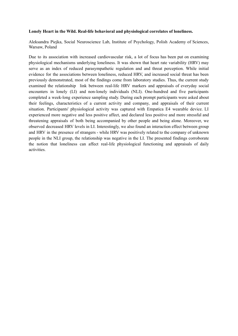#### **Lonely Heart in the Wild. Real-life behavioral and physiological correlates of loneliness.**

Aleksandra Piejka, Social Neuroscience Lab, Institute of Psychology, Polish Academy of Sciences, Warsaw, Poland

Due to its association with increased cardiovascular risk, a lot of focus has been put on examining physiological mechanisms underlying loneliness. It was shown that heart rate variability (HRV) may serve as an index of reduced parasympathetic regulation and and threat perception. While initial evidence for the associations between loneliness, reduced HRV, and increased social threat has been previously demonstrated, most of the findings come from laboratory studies. Thus, the current study examined the relationship link between real-life HRV markers and appraisals of everyday social encounters in lonely (LI) and non-lonely individuals (NLI). One-hundred and five participants completed a week-long experience sampling study. During each prompt participants were asked about their feelings, characteristics of a current activity and company, and appraisals of their current situation. Participants' physiological activity was captured with Empatica E4 wearable device. LI experienced more negative and less positive affect, and declared less positive and more stressful and threatening appraisals of both being accompanied by other people and being alone. Moreover, we observed decreased HRV levels in LI. Interestingly, we also found an interaction effect between group and HRV in the presence of strangers - while HRV was positively related to the company of unknown people in the NLI group, the relationship was negative in the LI. The presented findings corroborate the notion that loneliness can affect real-life physiological functioning and appraisals of daily activities.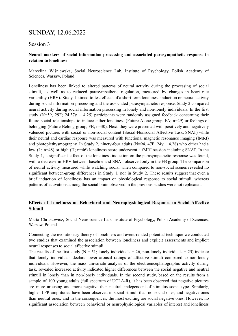# SUNDAY, 12.06.2022

## Session 3

## **Neural markers of social information processing and associated parasympathetic response in relation to loneliness**

Marcelina Wiśniewska, Social Neuroscience Lab, Institute of Psychology, Polish Academy of Sciences, Warsaw, Poland

Loneliness has been linked to altered patterns of neural activity during the processing of social stimuli, as well as to reduced parasympathetic regulation, measured by changes in heart rate variability (HRV). Study 1 aimed to test effects of a short-term loneliness induction on neural activity during social information processing and the associated parasympathetic response. Study 2 compared neural activity during social information processing in lonely and non-lonely individuals. In the first study (N=59, 29F; 24.37y  $\pm$  4.25) participants were randomly assigned feedback concerning their future social relationships to induce either loneliness (Future Alone group, FA; n=29) or feelings of belonging (Future Belong group, FB; n=30). Next, they were presented with positively and negatively valenced pictures with social or non-social content (Social-Nonsocial Affective Task, SNAT) while their neural and cardiac response was measured with functional magnetic resonance imaging (fMRI) and photoplethysmography. In Study 2, ninety-four adults (N=94, 47F;  $24y \pm 4.28$ ) who either had a low (L; n=48) or high (H; n=46) loneliness score underwent a fMRI session including SNAT. In the Study 1, a significant effect of the loneliness induction on the parasympathetic response was found, with a decrease in HRV between baseline and SNAT observed only in the FB group. The comparison of neural activity measured while watching social when compared to non-social scenes revealed no significant between-group differences in Study 1, nor in Study 2. These results suggest that even a brief induction of loneliness has an impact on physiological response to social stimuli, whereas patterns of activations among the social brain observed in the previous studies were not replicated.

## **Effects of Loneliness on Behavioral and Neurophysiological Response to Social Affective Stimuli**

Marta Chrustowicz, Social Neuroscience Lab, Institute of Psychology, Polish Academy of Sciences, Warsaw, Poland

Connecting the evolutionary theory of loneliness and event-related potential technique we conducted two studies that examined the association between loneliness and explicit assessments and implicit neural responses to social affective stimuli.

The results of the first study ( $N = 51$ ; lonely individuals = 26, non-lonely individuals = 25) indicate that lonely individuals declare lower arousal ratings of affective stimuli compared to non-lonely individuals. However, the mass univariate analysis of the electroencephalographic activity during task, revealed increased activity indicated higher differences between the social negative and neutral stimuli in lonely than in non-lonely individuals. In the second study, based on the results from a sample of 100 young adults (full spectrum of UCLA-R), it has been observed that negative pictures are more arousing and more negative than neutral, independent of stimulus social type. Similarly, higher LPP amplitudes have been observed in social stimuli than nonsocial ones, and negative ones than neutral ones, and in the consequences, the most exciting are social negative ones. However, no significant association between behavioral or neurophysiological variables of interest and loneliness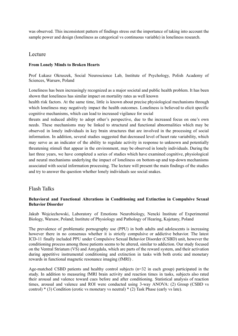was observed. This inconsistent pattern of findings stress out the importance of taking into account the sample power and design (loneliness as categorical vs continuous variable) in loneliness research.

## Lecture

## **From Lonely Minds to Broken Hearts**

Prof Łukasz Okruszek, Social Neuroscience Lab, Institute of Psychology, Polish Academy of Sciences, Warsaw, Poland

Loneliness has been increasingly recognized as a major societal and public health problem. It has been shown that loneliness has similar impact on mortality rates as well known

health risk factors. At the same time, little is known about precise physiological mechanisms through which loneliness may negatively impact the health outcomes. Loneliness is believed to elicit specific cognitive mechanisms, which can lead to increased vigilance for social

threats and reduced ability to adopt other's perspective, due to the increased focus on one's own needs. These mechanisms may be linked to structural and functional abnormalities which may be observed in lonely individuals in key brain structures that are involved in the processing of social information. In addition, several studies suggested that decreased level of heart rate variability, which may serve as an indicator of the ability to regulate activity in response to unknown and potentially threatening stimuli that appear in the environment, may be observed in lonely individuals. During the last three years, we have completed a series of studies which have examined cognitive, physiological and neural mechanisms underlying the impact of loneliness on bottom-up and top-down mechanisms associated with social information processing. The lecture will present the main findings of the studies and try to answer the question whether lonely individuals see social snakes.

## Flash Talks

#### **Behavioral and Functional Alterations in Conditioning and Extinction in Compulsive Sexual Behavior Disorder**

Jakub Wojciechowski, Laboratory of Emotions Neurobiology, Nencki Institute of Experimental Biology, Warsaw, Poland; Institute of Physiology and Pathology of Hearing, Kajetany, Poland

The prevalence of problematic pornography use (PPU) in both adults and adolescents is increasing however there in no consensus whether it is strictly compulsive or addictive behavior. The latest ICD-11 finally included PPU under Compulsive Sexual Behavior Disorder (CSBD) unit, however the conditioning process among those patients seems to be altered, similar to addiction. Our study focused on the Ventral Striatum (VS) and Amygdala, which are parts of the reward system, and their activation during appetitive instrumental conditioning and extinction in tasks with both erotic and monetary rewards in functional magnetic resonance imaging (fMRI) .

Age-matched CSBD patients and healthy control subjects (n=32 in each group) participated in the study. In addition to measuring fMRI brain activity and reaction times in tasks, subjects also rated their arousal and valence toward cues before and after conditioning. Statistical analysis of reaction times, arousal and valence and ROI were conducted using 3-way ANOVA: (2) Group (CSBD vs control)  $*(3)$  Condition (erotic vs monetary vs neutral)  $*(2)$  Task Phase (early vs late).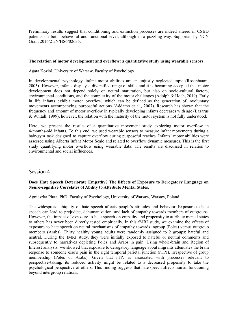Preliminary results suggest that conditioning and extinction processes are indeed altered in CSBD patients on both behavioral and functional level, although in a puzzling way. Supported by NCN Grant 2016/21/N/HS6/02635.

#### **The relation of motor development and overflow: a quantitative study using wearable sensors**

Agata Kozioł, University of Warsaw, Faculty of Psychology

In developmental psychology, infant motor abilities are an unjustly neglected topic (Rosenbaum, 2005). However, infants display a diversified range of skills and it is becoming accepted that motor development does not depend solely on neural maturation, but also on socio-cultural factors, environmental conditions, and the complexity of the motor challenges (Adolph & Hoch, 2019). Early in life infants exhibit motor overflow, which can be defined as the generation of involuntary movements accompanying purposeful actions (Addamo et al., 2007). Research has shown that the frequency and amount of motor overflow in typically developing infants decreases with age (Lazarus & Whitall, 1999), however, the relation with the maturity of the motor system is not fully understood.

Here, we present the results of a quantitative movement study exploring motor overflow in 4-months-old infants. To this end, we used wearable sensors to measure infant movements during a babygym task designed to capture overflow during purposeful reaches. Infants' motor abilities were assessed using Alberta Infant Motor Scale and related to overflow dynamic measures. This is the first study quantifying motor overflow using wearable data. The results are discussed in relation to environmental and social influences.

## Session 4

#### **Does Hate Speech Deteriorate Empathy? The Effects of Exposure to Derogatory Language on Neuro-cognitive Correlates of Ability to Attribute Mental States.**

Agnieszka Pluta, PhD, Faculty of Psychology, University of Warsaw, Warsaw, Poland

The widespread ubiquity of hate speech affects people's attitudes and behavior. Exposure to hate speech can lead to prejudice, dehumanization, and lack of empathy towards members of outgroups. However, the impact of exposure to hate speech on empathy and propensity to attribute mental states to others has never been directly tested empirically. In this fMRI study, we examine the effects of exposure to hate speech on neural mechanisms of empathy towards ingroup (Poles) versus outgroup members (Arabs). Thirty healthy young adults were randomly assigned to 2 groups: hateful and neutral. During the fMRI study, they were initially exposed to hateful or neutral comments and subsequently to narratives depicting Poles and Arabs in pain. Using whole-brain and Region of Interest analysis, we showed that exposure to derogatory language about migrants attenuates the brain response to someone else's pain in the right temporal parietal junction (rTPJ), irrespective of group membership (Poles or Arabs). Given that rTPJ is associated with processes relevant to perspective-taking, its reduced activity might be related to a decreased propensity to take the psychological perspective of others. This finding suggests that hate speech affects human functioning beyond intergroup relations.